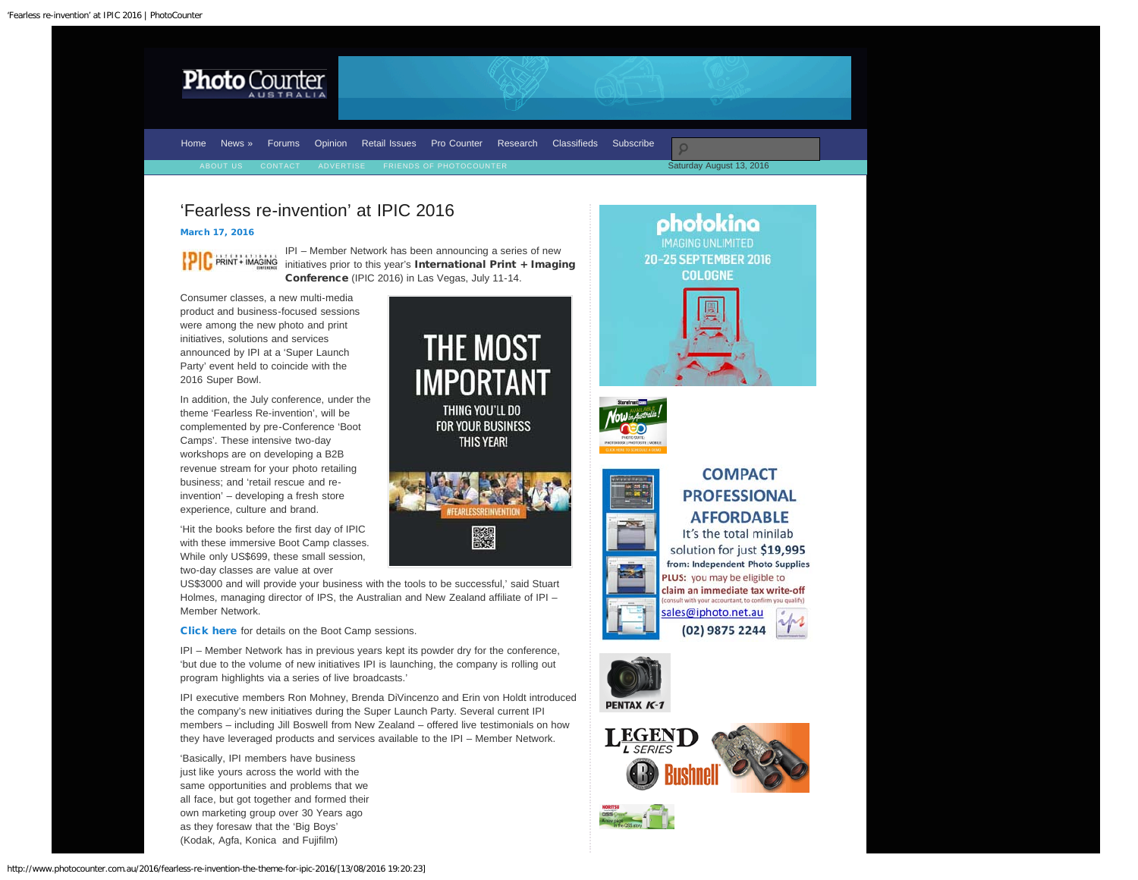<span id="page-0-0"></span>

[Home](http://www.photocounter.com.au/) [News »](http://www.photocounter.com.au/category/news/) [Forums](http://forum.photocounter.com.au/) [Opinion](http://www.photocounter.com.au/category/opinion/) [Retail Issues](http://www.photocounter.com.au/category/retail-issues/) [Pro Counter](http://procounter.com.au/) [Research](http://www.photocounter.com.au/category/research/) [Classifieds](http://www.photocounter.com.au/category/classifieds/) [Subscribe](http://www.photocounter.com.au/subscribe/)

Saturday August 13, 2016

photokina **IMAGING UNLIMITED** 

20-25 SEPTEMBER 2016 **COLOGNE** 

# 'Fearless re-invention' at IPIC 2016

## [March 17, 2016](#page-0-0)

**PIC** PRINT + IMAGING

IPI – Member Network has been announcing a series of new initiatives prior to this year's International Print + Imaging Conference (IPIC 2016) in Las Vegas, July 11-14.

Consumer classes, a new multi-media product and business-focused sessions were among the new photo and print initiatives, solutions and services announced by IPI at a 'Super Launch Party' event held to coincide with the 2016 Super Bowl.

In addition, the July conference, under the theme 'Fearless Re-invention', will be complemented by pre-Conference 'Boot Camps'. These intensive two-day workshops are on developing a B2B revenue stream for your photo retailing business; and 'retail rescue and reinvention' – developing a fresh store experience, culture and brand.

'Hit the books before the first day of IPIC with these immersive Boot Camp classes. While only US\$699, these small session, two-day classes are value at over

US\$3000 and will provide your business with the tools to be successful,' said Stuart Holmes, managing director of IPS, the Australian and New Zealand affiliate of IPI – Member Network.

**Click here** for details on the Boot Camp sessions.

IPI – Member Network has in previous years kept its powder dry for the conference, 'but due to the volume of new initiatives IPI is launching, the company is rolling out program highlights via a series of live broadcasts.'

IPI executive members Ron Mohney, Brenda DiVincenzo and Erin von Holdt introduced the company's new initiatives during the Super Launch Party. Several current IPI members – including Jill Boswell from New Zealand – offered live testimonials on how they have leveraged products and services available to the IPI – Member Network.

'Basically, IPI members have business just like yours across the world with the same opportunities and problems that we all face, but got together and formed their own marketing group over 30 Years ago as they foresaw that the 'Big Boys' (Kodak, Agfa, Konica and Fujifilm)







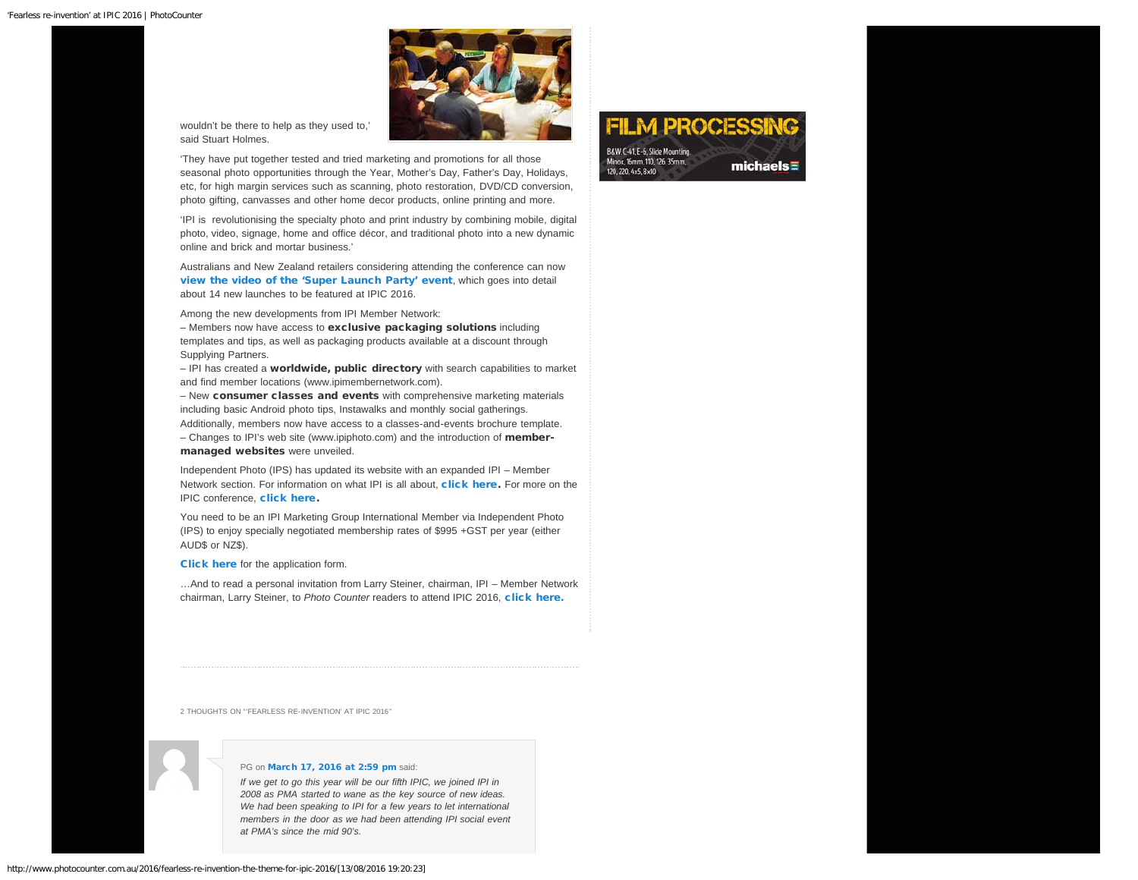

wouldn't be there to help as they used to,' said Stuart Holmes.

'They have put together tested and tried marketing and promotions for all those seasonal photo opportunities through the Year, Mother's Day, Father's Day, Holidays, etc, for high margin services such as scanning, photo restoration, DVD/CD conversion, photo gifting, canvasses and other home decor products, online printing and more.

'IPI is revolutionising the specialty photo and print industry by combining mobile, digital photo, video, signage, home and office décor, and traditional photo into a new dynamic online and brick and mortar business.'

Australians and New Zealand retailers considering attending the conference can now [view the video of the 'Super Launch Party' event](https://www.youtube.com/watch?v=gZHbGfUyKq8&feature=youtu.be), which goes into detail about 14 new launches to be featured at IPIC 2016.

Among the new developments from IPI Member Network:

– Members now have access to exclusive packaging solutions including templates and tips, as well as packaging products available at a discount through Supplying Partners.

– IPI has created a worldwide, public directory with search capabilities to market and find member locations (www.ipimembernetwork.com).

– New consumer classes and events with comprehensive marketing materials including basic Android photo tips, Instawalks and monthly social gatherings.

Additionally, members now have access to a classes-and-events brochure template. – Changes to IPI's web site (www.ipiphoto.com) and the introduction of member-

#### managed websites were unveiled.

Independent Photo (IPS) has updated its website with an expanded IPI – Member Network section. For information on what IPI is all about, [click here](https://www.iphoto.net.au/ipi.aspx). For more on the **IPIC conference, [click here](https://www.iphoto.net.au/event.aspx).** 

You need to be an IPI Marketing Group International Member via Independent Photo (IPS) to enjoy specially negotiated membership rates of \$995 +GST per year (either AUD\$ or NZ\$).

[Click here](https://www.iphoto.net.au/pdf/IPI-IPS%20Sponsored%20Membership%20Form.pdf) for the application form.

…And to read a personal invitation from Larry Steiner, chairman, IPI – Member Network chairman, Larry Steiner, to *Photo Counter* readers to attend IPIC 2016, [click here.](http://www.photocounter.com.au/2016/be-radical-embrace-success/)

2 THOUGHTS ON "'FEARLESS RE-INVENTION' AT IPIC 2016"



#### PG on [March 17, 2016 at 2:59 pm](#page-2-0) said:

*If we get to go this year will be our fifth IPIC, we joined IPI in 2008 as PMA started to wane as the key source of new ideas. We had been speaking to IPI for a few years to let international members in the door as we had been attending IPI social event at PMA's since the mid 90's.*

**FILM PROCESS** B&W, C-41, E-6, Slide Mounting Minox, 16mm, 110, 126, 35mm, michaels $\equiv$ 120, 220, 4x5, 8x10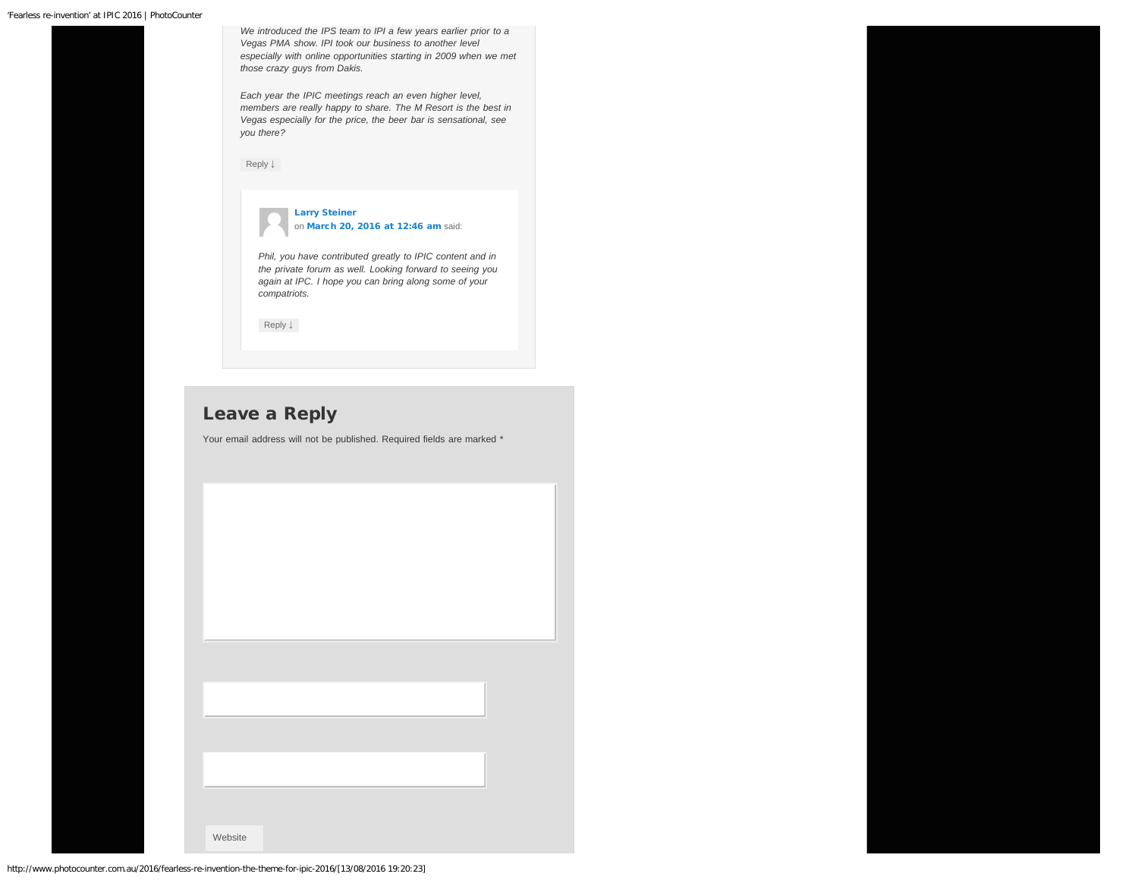<span id="page-2-1"></span><span id="page-2-0"></span>*especially with online opportunities starting in 2009 when we met those crazy guys from Dakis. Each year the IPIC meetings reach an even higher level, members are really happy to share. The M Resort is the best in Vegas especially for the price, the beer bar is sensational, see you there?* [Reply](http://www.photocounter.com.au/2016/fearless-re-invention-the-theme-for-ipic-2016/?replytocom=582197#respond) [↓](http://www.photocounter.com.au/2016/fearless-re-invention-the-theme-for-ipic-2016/?replytocom=582197#respond) [Larry Steiner](http://www,spectrum.photo/) on [March 20, 2016 at 12:46 am](#page-2-1) said: *Phil, you have contributed greatly to IPIC content and in the private forum as well. Looking forward to seeing you again at IPC. I hope you can bring along some of your compatriots.* [Reply](http://www.photocounter.com.au/2016/fearless-re-invention-the-theme-for-ipic-2016/?replytocom=582252#respond) [↓](http://www.photocounter.com.au/2016/fearless-re-invention-the-theme-for-ipic-2016/?replytocom=582252#respond)

## Leave a Reply

Your email address will not be published. Required fields are marked \*

Website